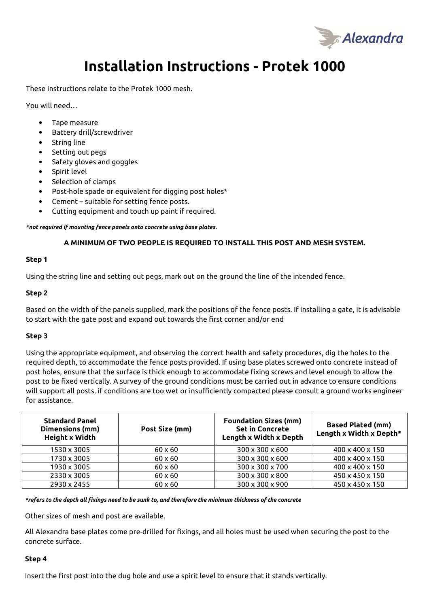

# **Installation Instructions - Protek 1000**

These instructions relate to the Protek 1000 mesh.

You will need…

- Tape measure
- Battery drill/screwdriver
- String line
- Setting out pegs
- Safety gloves and goggles
- Spirit level
- Selection of clamps
- Post-hole spade or equivalent for digging post holes\*
- Cement suitable for setting fence posts.
- Cutting equipment and touch up paint if required.

*\*not required if mounting fence panels onto concrete using base plates.*

### **A MINIMUM OF TWO PEOPLE IS REQUIRED TO INSTALL THIS POST AND MESH SYSTEM.**

#### **Step 1**

Using the string line and setting out pegs, mark out on the ground the line of the intended fence.

### **Step 2**

Based on the width of the panels supplied, mark the positions of the fence posts. If installing a gate, it is advisable to start with the gate post and expand out towards the first corner and/or end

#### **Step 3**

Using the appropriate equipment, and observing the correct health and safety procedures, dig the holes to the required depth, to accommodate the fence posts provided. If using base plates screwed onto concrete instead of post holes, ensure that the surface is thick enough to accommodate fixing screws and level enough to allow the post to be fixed vertically. A survey of the ground conditions must be carried out in advance to ensure conditions will support all posts, if conditions are too wet or insufficiently compacted please consult a ground works engineer for assistance.

| <b>Standard Panel</b><br>Dimensions (mm)<br><b>Height x Width</b> | Post Size (mm) | <b>Foundation Sizes (mm)</b><br><b>Set in Concrete</b><br>Length x Width x Depth | <b>Based Plated (mm)</b><br>Length x Width x Depth* |
|-------------------------------------------------------------------|----------------|----------------------------------------------------------------------------------|-----------------------------------------------------|
| 1530 x 3005                                                       | $60 \times 60$ | $300 \times 300 \times 600$                                                      | 400 x 400 x 150                                     |
| 1730 x 3005                                                       | $60 \times 60$ | 300 x 300 x 600                                                                  | 400 x 400 x 150                                     |
| 1930 x 3005                                                       | $60 \times 60$ | 300 x 300 x 700                                                                  | 400 x 400 x 150                                     |
| 2330 x 3005                                                       | $60 \times 60$ | 300 x 300 x 800                                                                  | 450 x 450 x 150                                     |
| 2930 x 2455                                                       | $60 \times 60$ | 300 x 300 x 900                                                                  | 450 x 450 x 150                                     |

*\*refers to the depth all fixings need to be sunk to, and therefore the minimum thickness of the concrete*

Other sizes of mesh and post are available.

All Alexandra base plates come pre-drilled for fixings, and all holes must be used when securing the post to the concrete surface.

#### **Step 4**

Insert the first post into the dug hole and use a spirit level to ensure that it stands vertically.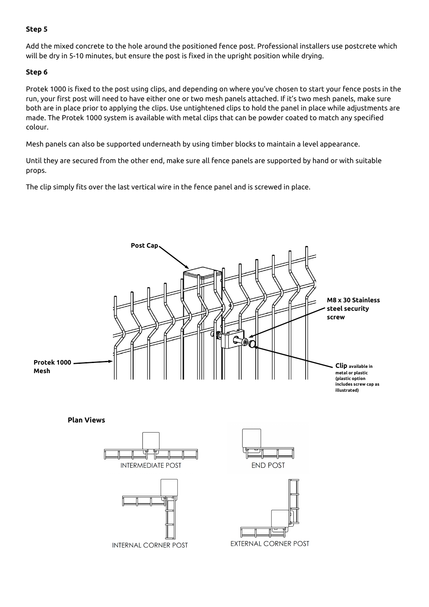# **Step 5**

Add the mixed concrete to the hole around the positioned fence post. Professional installers use postcrete which will be dry in 5-10 minutes, but ensure the post is fixed in the upright position while drying.

# **Step 6**

Protek 1000 is fixed to the post using clips, and depending on where you've chosen to start your fence posts in the run, your first post will need to have either one or two mesh panels attached. If it's two mesh panels, make sure both are in place prior to applying the clips. Use untightened clips to hold the panel in place while adjustments are made. The Protek 1000 system is available with metal clips that can be powder coated to match any specified colour.

Mesh panels can also be supported underneath by using timber blocks to maintain a level appearance.

Until they are secured from the other end, make sure all fence panels are supported by hand or with suitable props.

The clip simply fits over the last vertical wire in the fence panel and is screwed in place.